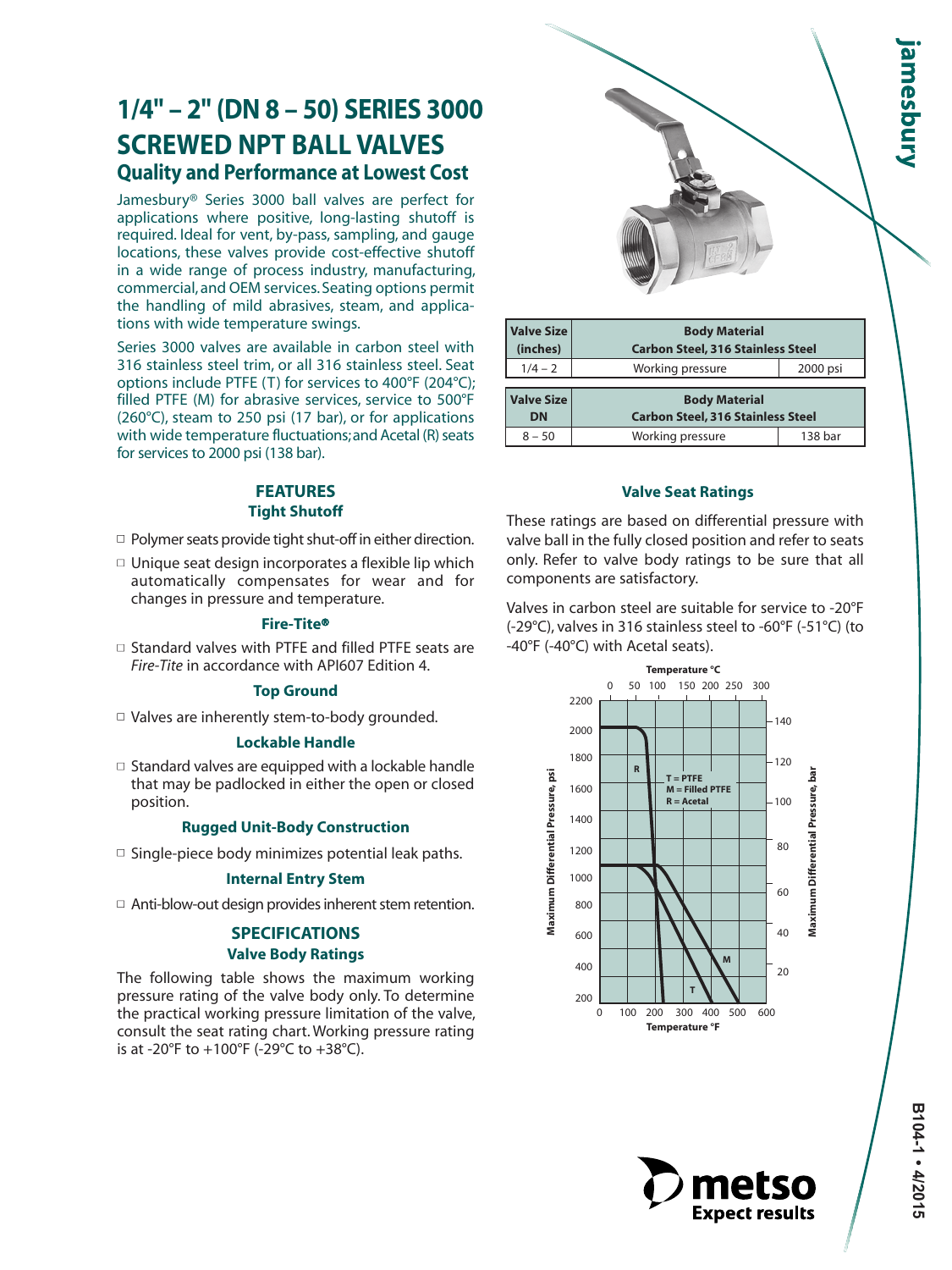# **1/4" – 2" (DN 8 – 50) SERIES 3000 SCREWED NPT BALL VALVES Quality and Performance at Lowest Cost**

Jamesbury® Series 3000 ball valves are perfect for applications where positive, long-lasting shutoff is required. Ideal for vent, by-pass, sampling, and gauge locations, these valves provide cost-effective shutoff in a wide range of process industry, manufacturing, commercial, and OEM services. Seating options permit the handling of mild abrasives, steam, and applications with wide temperature swings.

Series 3000 valves are available in carbon steel with 316 stainless steel trim, or all 316 stainless steel. Seat options include PTFE (T) for services to 400°F (204°C); filled PTFE (M) for abrasive services, service to 500°F (260°C), steam to 250 psi (17 bar), or for applications with wide temperature fluctuations; and Acetal (R) seats for services to 2000 psi (138 bar).

## **FEATURES Tight Shutoff**

- $\Box$  Polymer seats provide tight shut-off in either direction.
- $\Box$  Unique seat design incorporates a flexible lip which automatically compensates for wear and for changes in pressure and temperature.

#### **Fire-Tite**®

 $\Box$  Standard valves with PTFE and filled PTFE seats are *Fire-Tite* in accordance with API607 Edition 4.

#### **Top Ground**

 $\Box$  Valves are inherently stem-to-body grounded.

#### **Lockable Handle**

 $\Box$  Standard valves are equipped with a lockable handle that may be padlocked in either the open or closed position.

#### **Rugged Unit-Body Construction**

 $\Box$  Single-piece body minimizes potential leak paths.

#### **Internal Entry Stem**

 $\Box$  Anti-blow-out design provides inherent stem retention.

## **SPECIFICATIONS Valve Body Ratings**

The following table shows the maximum working pressure rating of the valve body only. To determine the practical working pressure limitation of the valve, consult the seat rating chart. Working pressure rating is at -20°F to +100°F (-29°C to +38°C).

| <b>Valve Size</b><br>(inches)  | <b>Body Material</b>                                             | <b>Carbon Steel, 316 Stainless Steel</b> |  |  |  |  |  |
|--------------------------------|------------------------------------------------------------------|------------------------------------------|--|--|--|--|--|
| $1/4 - 2$                      | Working pressure                                                 | 2000 psi                                 |  |  |  |  |  |
| <b>Valve Size</b><br><b>DN</b> | <b>Body Material</b><br><b>Carbon Steel, 316 Stainless Steel</b> |                                          |  |  |  |  |  |
| $8 - 50$                       | Working pressure                                                 | 138 bar                                  |  |  |  |  |  |

#### **Valve Seat Ratings**

These ratings are based on differential pressure with valve ball in the fully closed position and refer to seats only. Refer to valve body ratings to be sure that all components are satisfactory.

Valves in carbon steel are suitable for service to -20°F (-29°C), valves in 316 stainless steel to -60°F (-51°C) (to -40°F (-40°C) with Acetal seats).



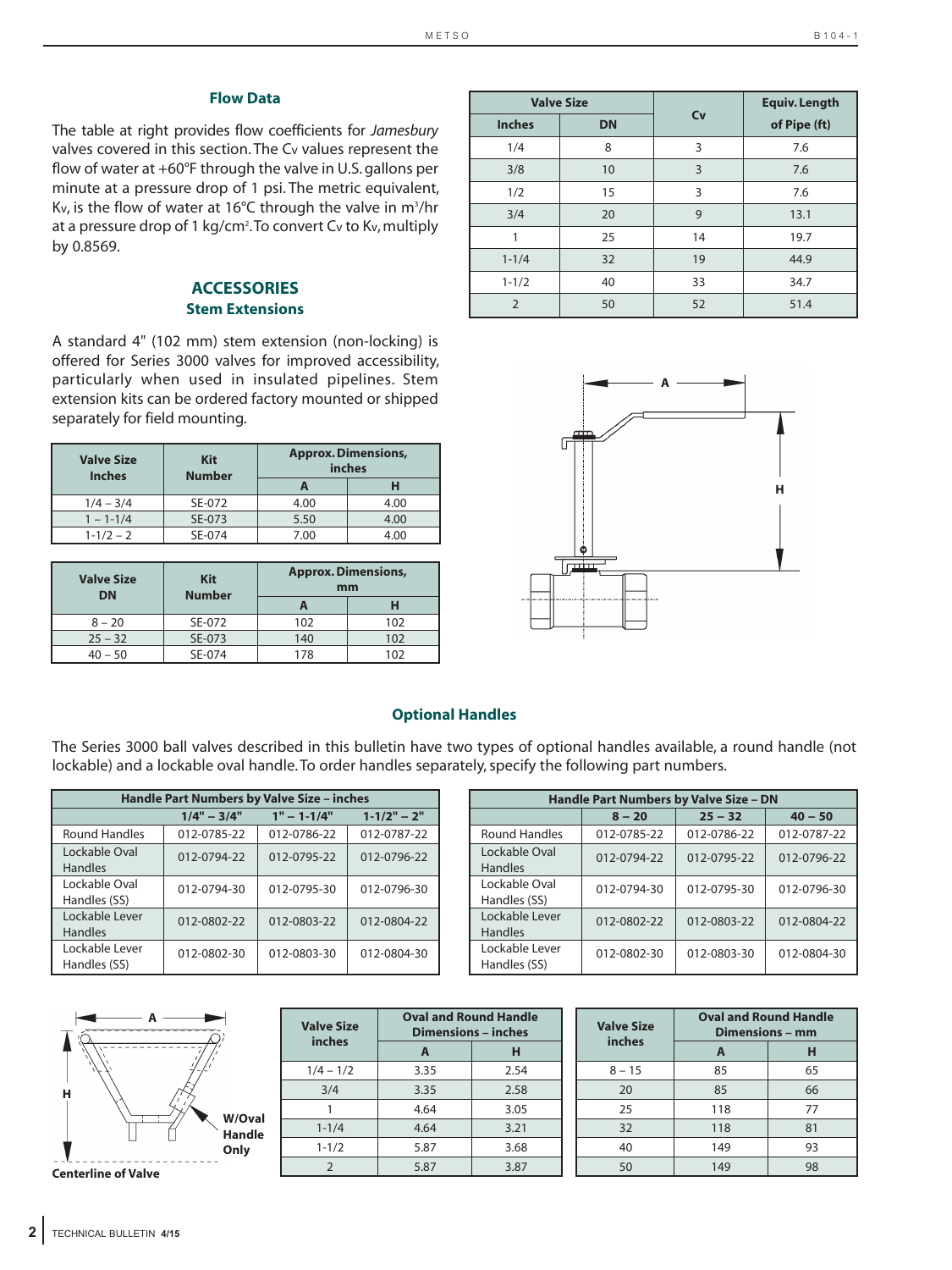#### **Flow Data**

The table at right provides flow coefficients for *Jamesbury* valves covered in this section. The Cv values represent the flow of water at +60°F through the valve in U.S. gallons per minute at a pressure drop of 1 psi. The metric equivalent, Kv, is the flow of water at  $16^{\circ}$ C through the valve in m<sup>3</sup>/hr at a pressure drop of 1 kg/cm<sup>2</sup>. To convert Cv to Kv, multiply by 0.8569.

#### **ACCESSORIES Stem Extensions**

A standard 4" (102 mm) stem extension (non-locking) is offered for Series 3000 valves for improved accessibility, particularly when used in insulated pipelines. Stem extension kits can be ordered factory mounted or shipped separately for field mounting.

| <b>Valve Size</b><br><b>Inches</b> | <b>Kit</b><br><b>Number</b> |      | <b>Approx. Dimensions,</b><br>inches |
|------------------------------------|-----------------------------|------|--------------------------------------|
|                                    |                             |      | н                                    |
| $1/4 - 3/4$                        | SE-072                      | 4.00 | 4.00                                 |
| $1 - 1 - 1/4$                      | SE-073                      | 5.50 | 4.00                                 |
| $1 - 1/2 - 2$                      | SE-074                      | 7.00 | 4.00                                 |

| <b>Valve Size</b><br><b>DN</b> | <b>Kit</b><br><b>Number</b> | <b>Approx. Dimensions,</b><br>mm |     |  |  |
|--------------------------------|-----------------------------|----------------------------------|-----|--|--|
|                                |                             |                                  |     |  |  |
| $8 - 20$                       | SE-072                      | 102                              | 102 |  |  |
| $25 - 32$                      | SE-073                      | 140                              | 102 |  |  |
| $40 - 50$                      | SE-074                      | 178                              | 102 |  |  |

|                | <b>Valve Size</b> |    | <b>Equiv. Length</b> |
|----------------|-------------------|----|----------------------|
| <b>Inches</b>  | <b>DN</b>         | Cv | of Pipe (ft)         |
| 1/4            | 8                 | 3  | 7.6                  |
| 3/8            | 10                | 3  | 7.6                  |
| 1/2            | 15                | 3  | 7.6                  |
| 3/4            | 20                | 9  | 13.1                 |
| 1              | 25                | 14 | 19.7                 |
| $1 - 1/4$      | 32                | 19 | 44.9                 |
| $1 - 1/2$      | 40                | 33 | 34.7                 |
| $\overline{2}$ | 50                | 52 | 51.4                 |



### **Optional Handles**

The Series 3000 ball valves described in this bulletin have two types of optional handles available, a round handle (not lockable) and a lockable oval handle. To order handles separately, specify the following part numbers.

 **Oval and Round Handle**

| <b>Handle Part Numbers by Valve Size - inches</b> |               |                 |                 |  |  |  |  |  |
|---------------------------------------------------|---------------|-----------------|-----------------|--|--|--|--|--|
|                                                   | $1/4" - 3/4"$ | $1" - 1 - 1/4"$ | $1 - 1/2" - 2"$ |  |  |  |  |  |
| <b>Round Handles</b>                              | 012-0785-22   | 012-0786-22     | 012-0787-22     |  |  |  |  |  |
| Lockable Oval<br><b>Handles</b>                   | 012-0794-22   | 012-0795-22     | 012-0796-22     |  |  |  |  |  |
| Lockable Oval<br>Handles (SS)                     | 012-0794-30   | 012-0795-30     | 012-0796-30     |  |  |  |  |  |
| Lockable Lever<br><b>Handles</b>                  | 012-0802-22   | 012-0803-22     | 012-0804-22     |  |  |  |  |  |
| Lockable Lever<br>Handles (SS)                    | 012-0802-30   | 012-0803-30     | 012-0804-30     |  |  |  |  |  |

| Handle Part Numbers by Valve Size - DN |             |             |             |  |  |  |  |  |
|----------------------------------------|-------------|-------------|-------------|--|--|--|--|--|
|                                        | $8 - 20$    | $25 - 32$   | $40 - 50$   |  |  |  |  |  |
| <b>Round Handles</b>                   | 012-0785-22 | 012-0786-22 | 012-0787-22 |  |  |  |  |  |
| Lockable Oval<br><b>Handles</b>        | 012-0794-22 | 012-0795-22 | 012-0796-22 |  |  |  |  |  |
| Lockable Oval<br>Handles (SS)          | 012-0794-30 | 012-0795-30 | 012-0796-30 |  |  |  |  |  |
| Lockable Lever<br><b>Handles</b>       | 012-0802-22 | 012-0803-22 | 012-0804-22 |  |  |  |  |  |
| Lockable Lever<br>Handles (SS)         | 012-0802-30 | 012-0803-30 | 012-0804-30 |  |  |  |  |  |

| н                          |                       |
|----------------------------|-----------------------|
|                            | W/Oval                |
|                            | <b>Handle</b><br>Only |
| <b>Centerline of Valve</b> |                       |

| <b>Valve Size</b> | <b>Oval and Round Handle</b><br><b>Dimensions - inches</b> |      |  |  |  |
|-------------------|------------------------------------------------------------|------|--|--|--|
| inches            | A                                                          | н    |  |  |  |
| $1/4 - 1/2$       | 3.35                                                       | 2.54 |  |  |  |
| 3/4               | 3.35                                                       | 2.58 |  |  |  |
|                   | 4.64                                                       | 3.05 |  |  |  |
| $1 - 1/4$         | 4.64                                                       | 3.21 |  |  |  |
| $1 - 1/2$         | 5.87                                                       | 3.68 |  |  |  |
|                   | 5.87                                                       | 3.87 |  |  |  |

| <b>Valve Size</b> | <b>Oval and Round Handle</b><br><b>Dimensions - mm</b> |    |  |  |
|-------------------|--------------------------------------------------------|----|--|--|
| inches            | A                                                      | н  |  |  |
| $8 - 15$          | 85                                                     | 65 |  |  |
| 20                | 85                                                     | 66 |  |  |
| 25                | 118                                                    | 77 |  |  |
| 32                | 118                                                    | 81 |  |  |
| 40                | 149                                                    | 93 |  |  |
| 50                | 149                                                    | 98 |  |  |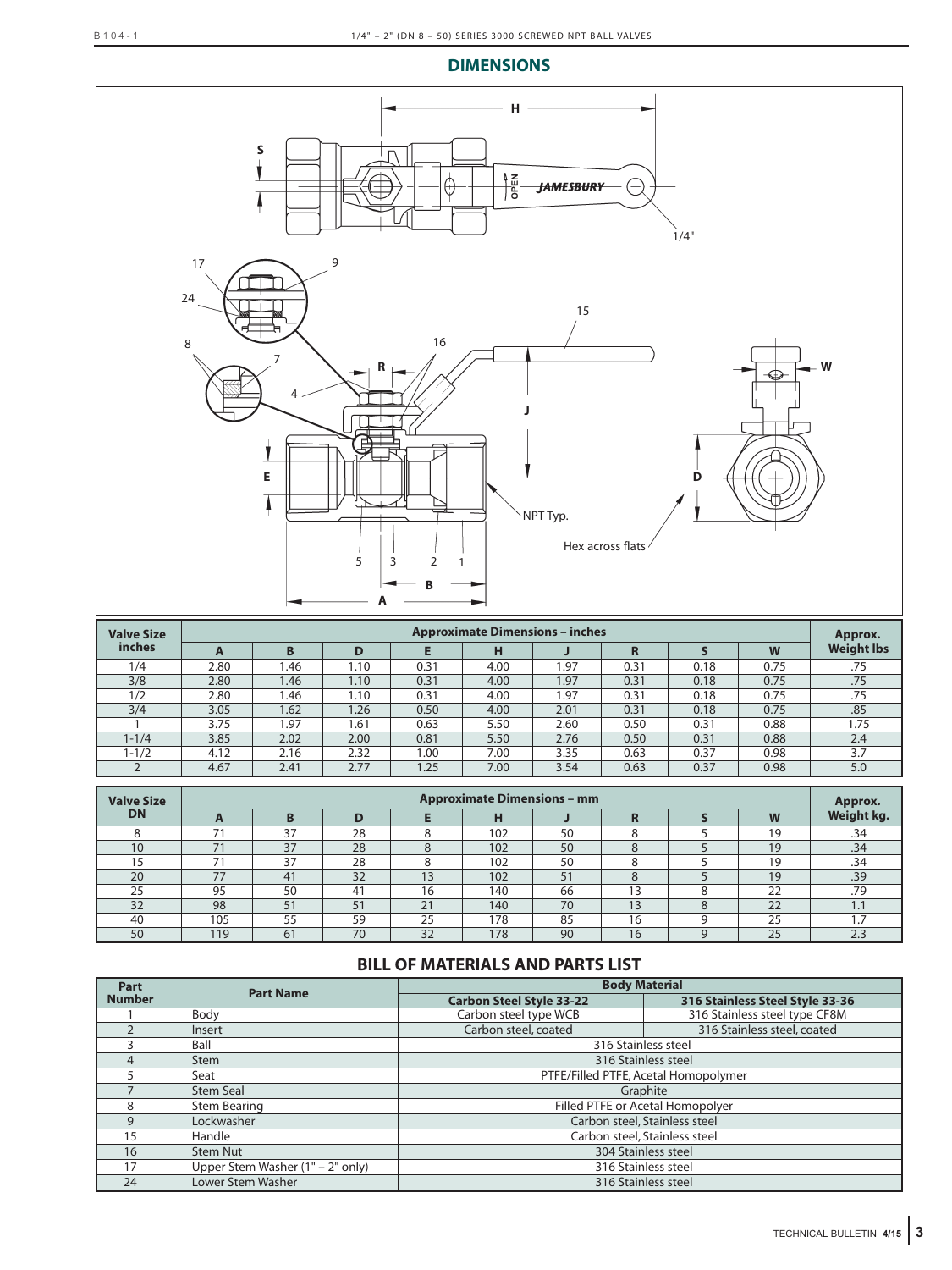#### **DIMENSIONS**



| <b>Valve Size</b> | <b>Approximate Dimensions - inches</b> |      |      |      |      |      |      | Approx. |      |                   |
|-------------------|----------------------------------------|------|------|------|------|------|------|---------|------|-------------------|
| <i>inches</i>     | A                                      | B    | D    |      | н    |      |      |         | W    | <b>Weight lbs</b> |
| 1/4               | 2.80                                   | 1.46 | 1.10 | 0.31 | 4.00 | 1.97 | 0.31 | 0.18    | 0.75 | .75               |
| 3/8               | 2.80                                   | 1.46 | 1.10 | 0.31 | 4.00 | 1.97 | 0.31 | 0.18    | 0.75 | .75               |
| 1/2               | 2.80                                   | 1.46 | 1.10 | 0.31 | 4.00 | 1.97 | 0.31 | 0.18    | 0.75 | .75               |
| 3/4               | 3.05                                   | 1.62 | .26  | 0.50 | 4.00 | 2.01 | 0.31 | 0.18    | 0.75 | .85               |
|                   | 3.75                                   | 1.97 | 1.61 | 0.63 | 5.50 | 2.60 | 0.50 | 0.31    | 0.88 | 1.75              |
| $1 - 1/4$         | 3.85                                   | 2.02 | 2.00 | 0.81 | 5.50 | 2.76 | 0.50 | 0.31    | 0.88 | 2.4               |
| $1 - 1/2$         | 4.12                                   | 2.16 | 2.32 | 1.00 | 7.00 | 3.35 | 0.63 | 0.37    | 0.98 | 3.7               |
|                   | 4.67                                   | 2.41 | 2.77 | 1.25 | 7.00 | 3.54 | 0.63 | 0.37    | 0.98 | 5.0               |

| <b>Valve Size</b> | <b>Approximate Dimensions - mm</b> |    |    |             |     |    |                          | Approx. |            |
|-------------------|------------------------------------|----|----|-------------|-----|----|--------------------------|---------|------------|
| <b>DN</b>         |                                    |    | D  |             | н   |    |                          |         | Weight kg. |
|                   |                                    | 37 | 28 |             | 102 | 50 |                          | 19      | .34        |
| 10                | 71                                 | 37 | 28 |             | 102 | 50 | $\Omega$<br>$\circ$      | 19      | .34        |
|                   |                                    | 37 | 28 |             | 102 | 50 |                          | 19      | .34        |
| 20                | 77                                 | 41 | 32 | 12          | 102 | 51 | $\Omega$<br><sup>o</sup> | 19      | .39        |
| 25                | 95                                 | 50 | 41 | 16          | 140 | 66 | 13                       |         | .79        |
| 32                | 98                                 | 51 | 51 | $\bigcap$ 1 | 140 | 70 | 13                       | 22      | <b>.</b>   |
| 40                | 105                                | 55 | 59 | 25          | 178 | 85 | 16                       | 25      |            |
| 50                | 119                                | 61 | 70 | 32          | 178 | 90 | 16                       | 25      | 2.3        |

## **BILL OF MATERIALS AND PARTS LIST**

| Part          |                                  | <b>Body Material</b><br><b>Part Name</b> |                                 |  |  |  |  |
|---------------|----------------------------------|------------------------------------------|---------------------------------|--|--|--|--|
| <b>Number</b> |                                  | <b>Carbon Steel Style 33-22</b>          | 316 Stainless Steel Style 33-36 |  |  |  |  |
|               | Body                             | Carbon steel type WCB                    | 316 Stainless steel type CF8M   |  |  |  |  |
|               | Insert                           | Carbon steel, coated                     | 316 Stainless steel, coated     |  |  |  |  |
|               | Ball                             | 316 Stainless steel                      |                                 |  |  |  |  |
| Δ             | <b>Stem</b>                      | 316 Stainless steel                      |                                 |  |  |  |  |
|               | Seat                             | PTFE/Filled PTFE, Acetal Homopolymer     |                                 |  |  |  |  |
|               | Stem Seal                        | Graphite                                 |                                 |  |  |  |  |
| 8             | Stem Bearing                     | Filled PTFE or Acetal Homopolyer         |                                 |  |  |  |  |
| $\mathsf{Q}$  | Lockwasher                       |                                          | Carbon steel, Stainless steel   |  |  |  |  |
| 15            | Handle                           | Carbon steel, Stainless steel            |                                 |  |  |  |  |
| 16            | Stem Nut                         | 304 Stainless steel                      |                                 |  |  |  |  |
| 17            | Upper Stem Washer (1" – 2" only) | 316 Stainless steel                      |                                 |  |  |  |  |
| 24            | Lower Stem Washer                |                                          | 316 Stainless steel             |  |  |  |  |